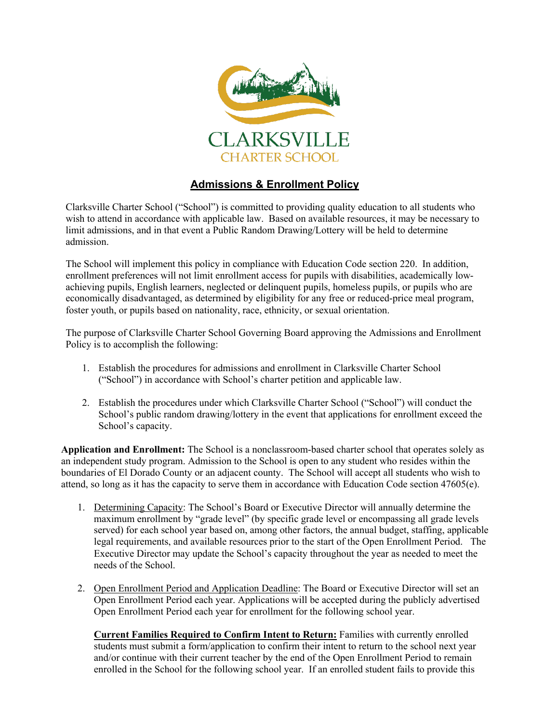

## **Admissions & Enrollment Policy**

Clarksville Charter School ("School") is committed to providing quality education to all students who wish to attend in accordance with applicable law. Based on available resources, it may be necessary to limit admissions, and in that event a Public Random Drawing/Lottery will be held to determine admission.

The School will implement this policy in compliance with Education Code section 220. In addition, enrollment preferences will not limit enrollment access for pupils with disabilities, academically lowachieving pupils, English learners, neglected or delinquent pupils, homeless pupils, or pupils who are economically disadvantaged, as determined by eligibility for any free or reduced-price meal program, foster youth, or pupils based on nationality, race, ethnicity, or sexual orientation.

The purpose of Clarksville Charter School Governing Board approving the Admissions and Enrollment Policy is to accomplish the following:

- 1. Establish the procedures for admissions and enrollment in Clarksville Charter School ("School") in accordance with School's charter petition and applicable law.
- 2. Establish the procedures under which Clarksville Charter School ("School") will conduct the School's public random drawing/lottery in the event that applications for enrollment exceed the School's capacity.

**Application and Enrollment:** The School is a nonclassroom-based charter school that operates solely as an independent study program. Admission to the School is open to any student who resides within the boundaries of El Dorado County or an adjacent county. The School will accept all students who wish to attend, so long as it has the capacity to serve them in accordance with Education Code section 47605(e).

- 1. Determining Capacity: The School's Board or Executive Director will annually determine the maximum enrollment by "grade level" (by specific grade level or encompassing all grade levels served) for each school year based on, among other factors, the annual budget, staffing, applicable legal requirements, and available resources prior to the start of the Open Enrollment Period. The Executive Director may update the School's capacity throughout the year as needed to meet the needs of the School.
- 2. Open Enrollment Period and Application Deadline: The Board or Executive Director will set an Open Enrollment Period each year. Applications will be accepted during the publicly advertised Open Enrollment Period each year for enrollment for the following school year.

**Current Families Required to Confirm Intent to Return:** Families with currently enrolled students must submit a form/application to confirm their intent to return to the school next year and/or continue with their current teacher by the end of the Open Enrollment Period to remain enrolled in the School for the following school year. If an enrolled student fails to provide this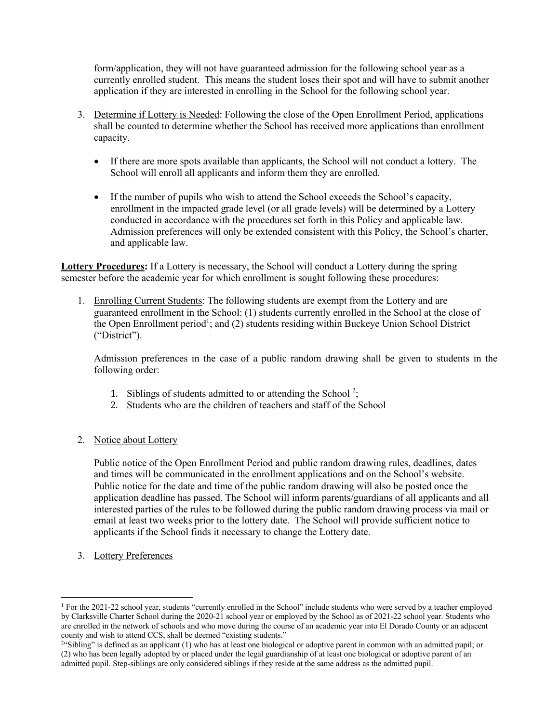form/application, they will not have guaranteed admission for the following school year as a currently enrolled student. This means the student loses their spot and will have to submit another application if they are interested in enrolling in the School for the following school year.

- 3. Determine if Lottery is Needed: Following the close of the Open Enrollment Period, applications shall be counted to determine whether the School has received more applications than enrollment capacity.
	- If there are more spots available than applicants, the School will not conduct a lottery. The School will enroll all applicants and inform them they are enrolled.
	- If the number of pupils who wish to attend the School exceeds the School's capacity, enrollment in the impacted grade level (or all grade levels) will be determined by a Lottery conducted in accordance with the procedures set forth in this Policy and applicable law. Admission preferences will only be extended consistent with this Policy, the School's charter, and applicable law.

**Lottery Procedures:** If a Lottery is necessary, the School will conduct a Lottery during the spring semester before the academic year for which enrollment is sought following these procedures:

1. Enrolling Current Students: The following students are exempt from the Lottery and are guaranteed enrollment in the School: (1) students currently enrolled in the School at the close of the Open Enrollment period<sup>1</sup>; and (2) students residing within Buckeye Union School District ("District").

Admission preferences in the case of a public random drawing shall be given to students in the following order:

- 1. Siblings of students admitted to or attending the School<sup>2</sup>;
- 2. Students who are the children of teachers and staff of the School
- 2. Notice about Lottery

Public notice of the Open Enrollment Period and public random drawing rules, deadlines, dates and times will be communicated in the enrollment applications and on the School's website. Public notice for the date and time of the public random drawing will also be posted once the application deadline has passed. The School will inform parents/guardians of all applicants and all interested parties of the rules to be followed during the public random drawing process via mail or email at least two weeks prior to the lottery date. The School will provide sufficient notice to applicants if the School finds it necessary to change the Lottery date.

3. Lottery Preferences

<sup>&</sup>lt;sup>1</sup> For the 2021-22 school year, students "currently enrolled in the School" include students who were served by a teacher employed by Clarksville Charter School during the 2020-21 school year or employed by the School as of 2021-22 school year. Students who are enrolled in the network of schools and who move during the course of an academic year into El Dorado County or an adjacent county and wish to attend CCS, shall be deemed "existing students."

<sup>&</sup>lt;sup>2</sup>"Sibling" is defined as an applicant (1) who has at least one biological or adoptive parent in common with an admitted pupil; or (2) who has been legally adopted by or placed under the legal guardianship of at least one biological or adoptive parent of an admitted pupil. Step-siblings are only considered siblings if they reside at the same address as the admitted pupil.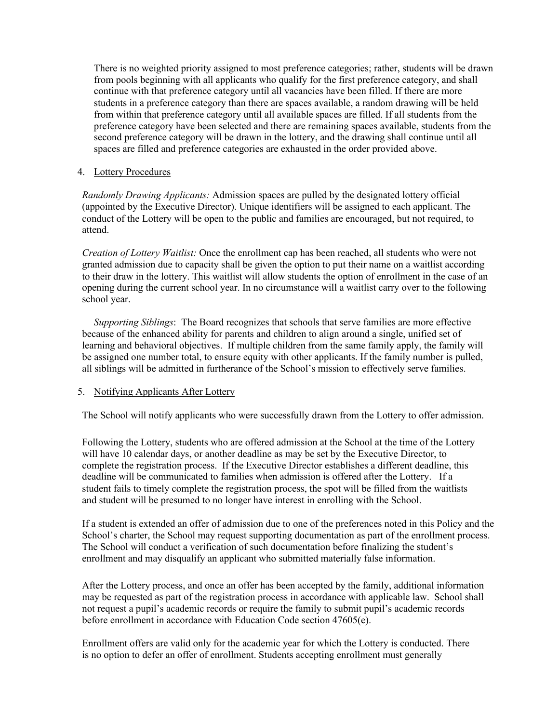There is no weighted priority assigned to most preference categories; rather, students will be drawn from pools beginning with all applicants who qualify for the first preference category, and shall continue with that preference category until all vacancies have been filled. If there are more students in a preference category than there are spaces available, a random drawing will be held from within that preference category until all available spaces are filled. If all students from the preference category have been selected and there are remaining spaces available, students from the second preference category will be drawn in the lottery, and the drawing shall continue until all spaces are filled and preference categories are exhausted in the order provided above.

## 4. Lottery Procedures

*Randomly Drawing Applicants:* Admission spaces are pulled by the designated lottery official (appointed by the Executive Director). Unique identifiers will be assigned to each applicant. The conduct of the Lottery will be open to the public and families are encouraged, but not required, to attend.

*Creation of Lottery Waitlist:* Once the enrollment cap has been reached, all students who were not granted admission due to capacity shall be given the option to put their name on a waitlist according to their draw in the lottery. This waitlist will allow students the option of enrollment in the case of an opening during the current school year. In no circumstance will a waitlist carry over to the following school year.

*Supporting Siblings*: The Board recognizes that schools that serve families are more effective because of the enhanced ability for parents and children to align around a single, unified set of learning and behavioral objectives. If multiple children from the same family apply, the family will be assigned one number total, to ensure equity with other applicants. If the family number is pulled, all siblings will be admitted in furtherance of the School's mission to effectively serve families.

## 5. Notifying Applicants After Lottery

The School will notify applicants who were successfully drawn from the Lottery to offer admission.

Following the Lottery, students who are offered admission at the School at the time of the Lottery will have 10 calendar days, or another deadline as may be set by the Executive Director, to complete the registration process. If the Executive Director establishes a different deadline, this deadline will be communicated to families when admission is offered after the Lottery. If a student fails to timely complete the registration process, the spot will be filled from the waitlists and student will be presumed to no longer have interest in enrolling with the School.

If a student is extended an offer of admission due to one of the preferences noted in this Policy and the School's charter, the School may request supporting documentation as part of the enrollment process. The School will conduct a verification of such documentation before finalizing the student's enrollment and may disqualify an applicant who submitted materially false information.

After the Lottery process, and once an offer has been accepted by the family, additional information may be requested as part of the registration process in accordance with applicable law. School shall not request a pupil's academic records or require the family to submit pupil's academic records before enrollment in accordance with Education Code section 47605(e).

Enrollment offers are valid only for the academic year for which the Lottery is conducted. There is no option to defer an offer of enrollment. Students accepting enrollment must generally